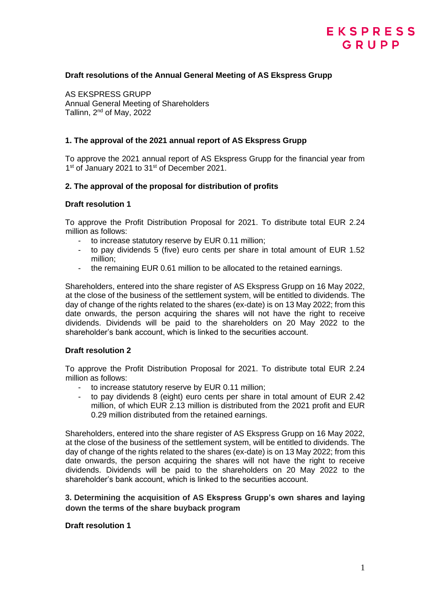# EKSPRESS GRUPP

# **Draft resolutions of the Annual General Meeting of AS Ekspress Grupp**

AS EKSPRESS GRUPP Annual General Meeting of Shareholders Tallinn,  $2^{nd}$  of May, 2022

## **1. The approval of the 2021 annual report of AS Ekspress Grupp**

To approve the 2021 annual report of AS Ekspress Grupp for the financial year from 1<sup>st</sup> of January 2021 to 31<sup>st</sup> of December 2021.

## **2. The approval of the proposal for distribution of profits**

## **Draft resolution 1**

To approve the Profit Distribution Proposal for 2021. To distribute total EUR 2.24 million as follows:

- to increase statutory reserve by EUR 0.11 million;
- to pay dividends 5 (five) euro cents per share in total amount of EUR 1.52 million;
- the remaining EUR 0.61 million to be allocated to the retained earnings.

Shareholders, entered into the share register of AS Ekspress Grupp on 16 May 2022, at the close of the business of the settlement system, will be entitled to dividends. The day of change of the rights related to the shares (ex-date) is on 13 May 2022; from this date onwards, the person acquiring the shares will not have the right to receive dividends. Dividends will be paid to the shareholders on 20 May 2022 to the shareholder's bank account, which is linked to the securities account.

## **Draft resolution 2**

To approve the Profit Distribution Proposal for 2021. To distribute total EUR 2.24 million as follows:

- to increase statutory reserve by EUR 0.11 million;
- to pay dividends 8 (eight) euro cents per share in total amount of EUR 2.42 million, of which EUR 2.13 million is distributed from the 2021 profit and EUR 0.29 million distributed from the retained earnings.

Shareholders, entered into the share register of AS Ekspress Grupp on 16 May 2022, at the close of the business of the settlement system, will be entitled to dividends. The day of change of the rights related to the shares (ex-date) is on 13 May 2022; from this date onwards, the person acquiring the shares will not have the right to receive dividends. Dividends will be paid to the shareholders on 20 May 2022 to the shareholder's bank account, which is linked to the securities account.

# **3. Determining the acquisition of AS Ekspress Grupp's own shares and laying down the terms of the share buyback program**

#### **Draft resolution 1**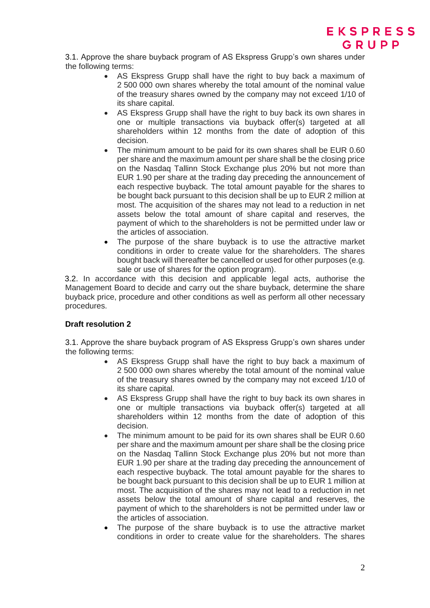

3.1. Approve the share buyback program of AS Ekspress Grupp's own shares under the following terms:

- AS Ekspress Grupp shall have the right to buy back a maximum of 2 500 000 own shares whereby the total amount of the nominal value of the treasury shares owned by the company may not exceed 1/10 of its share capital.
- AS Ekspress Grupp shall have the right to buy back its own shares in one or multiple transactions via buyback offer(s) targeted at all shareholders within 12 months from the date of adoption of this decision.
- The minimum amount to be paid for its own shares shall be EUR 0.60 per share and the maximum amount per share shall be the closing price on the Nasdaq Tallinn Stock Exchange plus 20% but not more than EUR 1.90 per share at the trading day preceding the announcement of each respective buyback. The total amount payable for the shares to be bought back pursuant to this decision shall be up to EUR 2 million at most. The acquisition of the shares may not lead to a reduction in net assets below the total amount of share capital and reserves, the payment of which to the shareholders is not be permitted under law or the articles of association.
- The purpose of the share buyback is to use the attractive market conditions in order to create value for the shareholders. The shares bought back will thereafter be cancelled or used for other purposes (e.g. sale or use of shares for the option program).

3.2. In accordance with this decision and applicable legal acts, authorise the Management Board to decide and carry out the share buyback, determine the share buyback price, procedure and other conditions as well as perform all other necessary procedures.

## **Draft resolution 2**

3.1. Approve the share buyback program of AS Ekspress Grupp's own shares under the following terms:

- AS Ekspress Grupp shall have the right to buy back a maximum of 2 500 000 own shares whereby the total amount of the nominal value of the treasury shares owned by the company may not exceed 1/10 of its share capital.
- AS Ekspress Grupp shall have the right to buy back its own shares in one or multiple transactions via buyback offer(s) targeted at all shareholders within 12 months from the date of adoption of this decision.
- The minimum amount to be paid for its own shares shall be EUR 0.60 per share and the maximum amount per share shall be the closing price on the Nasdaq Tallinn Stock Exchange plus 20% but not more than EUR 1.90 per share at the trading day preceding the announcement of each respective buyback. The total amount payable for the shares to be bought back pursuant to this decision shall be up to EUR 1 million at most. The acquisition of the shares may not lead to a reduction in net assets below the total amount of share capital and reserves, the payment of which to the shareholders is not be permitted under law or the articles of association.
- The purpose of the share buyback is to use the attractive market conditions in order to create value for the shareholders. The shares